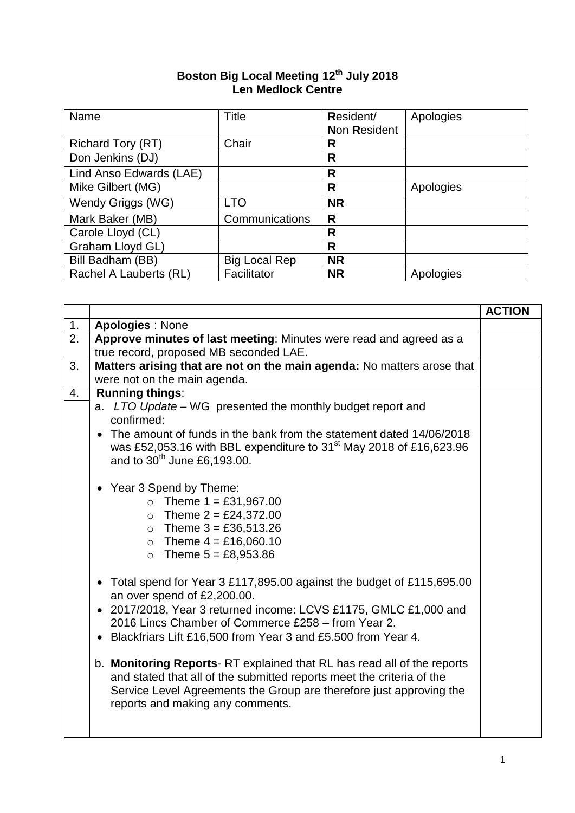## **Boston Big Local Meeting 12 th July 2018 Len Medlock Centre**

| Name                     | Title                | Resident/           | Apologies |
|--------------------------|----------------------|---------------------|-----------|
|                          |                      | <b>Non Resident</b> |           |
| <b>Richard Tory (RT)</b> | Chair                | R                   |           |
| Don Jenkins (DJ)         |                      | R                   |           |
| Lind Anso Edwards (LAE)  |                      | R                   |           |
| Mike Gilbert (MG)        |                      | R                   | Apologies |
| Wendy Griggs (WG)        | <b>LTO</b>           | <b>NR</b>           |           |
| Mark Baker (MB)          | Communications       | R                   |           |
| Carole Lloyd (CL)        |                      | R                   |           |
| Graham Lloyd GL)         |                      | R                   |           |
| Bill Badham (BB)         | <b>Big Local Rep</b> | <b>NR</b>           |           |
| Rachel A Lauberts (RL)   | Facilitator          | <b>NR</b>           | Apologies |

|    |                                                                                                                                                                                                                                                                                                                                                                                                                                                                                                                                                                                                                                                                                                                                                                                                                                                                                                                                                                                                                                                             | <b>ACTION</b> |  |  |
|----|-------------------------------------------------------------------------------------------------------------------------------------------------------------------------------------------------------------------------------------------------------------------------------------------------------------------------------------------------------------------------------------------------------------------------------------------------------------------------------------------------------------------------------------------------------------------------------------------------------------------------------------------------------------------------------------------------------------------------------------------------------------------------------------------------------------------------------------------------------------------------------------------------------------------------------------------------------------------------------------------------------------------------------------------------------------|---------------|--|--|
| 1. | Apologies : None                                                                                                                                                                                                                                                                                                                                                                                                                                                                                                                                                                                                                                                                                                                                                                                                                                                                                                                                                                                                                                            |               |  |  |
| 2. | Approve minutes of last meeting: Minutes were read and agreed as a<br>true record, proposed MB seconded LAE.                                                                                                                                                                                                                                                                                                                                                                                                                                                                                                                                                                                                                                                                                                                                                                                                                                                                                                                                                |               |  |  |
| 3. | Matters arising that are not on the main agenda: No matters arose that<br>were not on the main agenda.                                                                                                                                                                                                                                                                                                                                                                                                                                                                                                                                                                                                                                                                                                                                                                                                                                                                                                                                                      |               |  |  |
| 4. | <b>Running things:</b><br>a. LTO Update - WG presented the monthly budget report and<br>confirmed:<br>The amount of funds in the bank from the statement dated 14/06/2018<br>was £52,053.16 with BBL expenditure to 31 <sup>st</sup> May 2018 of £16,623.96<br>and to $30^{th}$ June £6,193.00.<br>Year 3 Spend by Theme:<br>• Theme $1 = £31,967.00$<br>• Theme $2 = \text{\pounds}24,372.00$<br>• Theme $3 = £36,513.26$<br>• Theme $4 = £16,060.10$<br>• Theme $5 = £8,953.86$<br>Total spend for Year 3 £117,895.00 against the budget of £115,695.00<br>an over spend of £2,200.00.<br>2017/2018, Year 3 returned income: LCVS £1175, GMLC £1,000 and<br>$\bullet$<br>2016 Lincs Chamber of Commerce £258 – from Year 2.<br>Blackfriars Lift £16,500 from Year 3 and £5.500 from Year 4.<br>b. Monitoring Reports-RT explained that RL has read all of the reports<br>and stated that all of the submitted reports meet the criteria of the<br>Service Level Agreements the Group are therefore just approving the<br>reports and making any comments. |               |  |  |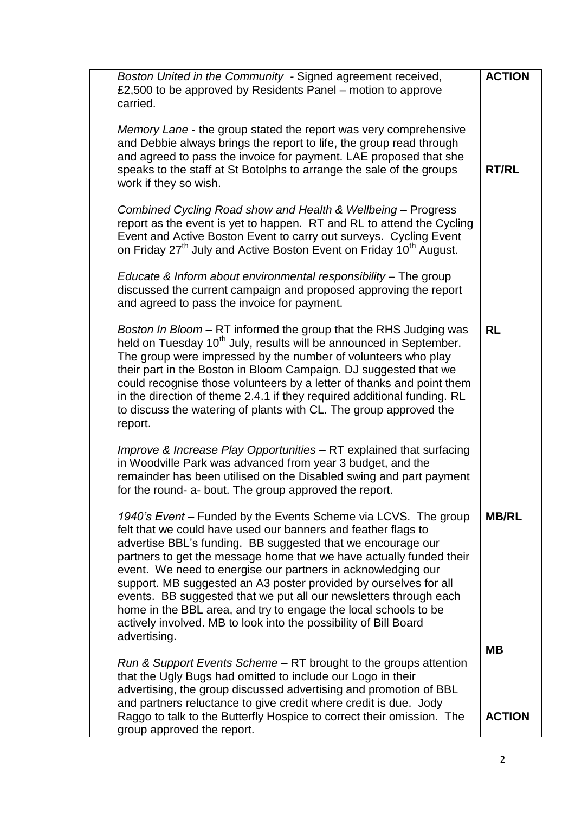| Boston United in the Community - Signed agreement received,<br>£2,500 to be approved by Residents Panel – motion to approve<br>carried.                                                                                                                                                                                                                                                                                                                                                                                                                                                                               | <b>ACTION</b> |
|-----------------------------------------------------------------------------------------------------------------------------------------------------------------------------------------------------------------------------------------------------------------------------------------------------------------------------------------------------------------------------------------------------------------------------------------------------------------------------------------------------------------------------------------------------------------------------------------------------------------------|---------------|
| Memory Lane - the group stated the report was very comprehensive<br>and Debbie always brings the report to life, the group read through<br>and agreed to pass the invoice for payment. LAE proposed that she<br>speaks to the staff at St Botolphs to arrange the sale of the groups<br>work if they so wish.                                                                                                                                                                                                                                                                                                         | <b>RT/RL</b>  |
| Combined Cycling Road show and Health & Wellbeing - Progress<br>report as the event is yet to happen. RT and RL to attend the Cycling<br>Event and Active Boston Event to carry out surveys. Cycling Event<br>on Friday 27 <sup>th</sup> July and Active Boston Event on Friday 10 <sup>th</sup> August.                                                                                                                                                                                                                                                                                                              |               |
| Educate & Inform about environmental responsibility - The group<br>discussed the current campaign and proposed approving the report<br>and agreed to pass the invoice for payment.                                                                                                                                                                                                                                                                                                                                                                                                                                    |               |
| Boston In Bloom - RT informed the group that the RHS Judging was<br>held on Tuesday 10 <sup>th</sup> July, results will be announced in September.<br>The group were impressed by the number of volunteers who play<br>their part in the Boston in Bloom Campaign. DJ suggested that we<br>could recognise those volunteers by a letter of thanks and point them<br>in the direction of theme 2.4.1 if they required additional funding. RL<br>to discuss the watering of plants with CL. The group approved the<br>report.                                                                                           | <b>RL</b>     |
| Improve & Increase Play Opportunities - RT explained that surfacing<br>in Woodville Park was advanced from year 3 budget, and the<br>remainder has been utilised on the Disabled swing and part payment<br>for the round- a- bout. The group approved the report.                                                                                                                                                                                                                                                                                                                                                     |               |
| 1940's Event – Funded by the Events Scheme via LCVS. The group<br>felt that we could have used our banners and feather flags to<br>advertise BBL's funding. BB suggested that we encourage our<br>partners to get the message home that we have actually funded their<br>event. We need to energise our partners in acknowledging our<br>support. MB suggested an A3 poster provided by ourselves for all<br>events. BB suggested that we put all our newsletters through each<br>home in the BBL area, and try to engage the local schools to be<br>actively involved. MB to look into the possibility of Bill Board | <b>MB/RL</b>  |
| advertising.                                                                                                                                                                                                                                                                                                                                                                                                                                                                                                                                                                                                          | <b>MB</b>     |
| Run & Support Events Scheme – RT brought to the groups attention<br>that the Ugly Bugs had omitted to include our Logo in their                                                                                                                                                                                                                                                                                                                                                                                                                                                                                       |               |
| advertising, the group discussed advertising and promotion of BBL<br>and partners reluctance to give credit where credit is due. Jody<br>Raggo to talk to the Butterfly Hospice to correct their omission. The<br>group approved the report.                                                                                                                                                                                                                                                                                                                                                                          | <b>ACTION</b> |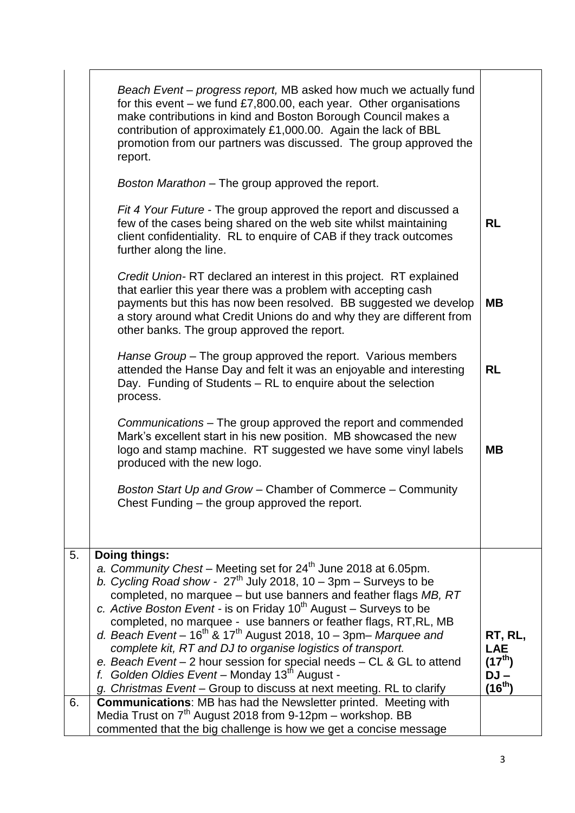| Beach Event – progress report, MB asked how much we actually fund<br>for this event $-$ we fund £7,800.00, each year. Other organisations<br>promotion from our partners was discussed. The group approved the              |
|-----------------------------------------------------------------------------------------------------------------------------------------------------------------------------------------------------------------------------|
| Fit 4 Your Future - The group approved the report and discussed a<br><b>RL</b><br>client confidentiality. RL to enquire of CAB if they track outcomes                                                                       |
| Credit Union-RT declared an interest in this project. RT explained<br>payments but this has now been resolved. BB suggested we develop<br><b>MB</b><br>a story around what Credit Unions do and why they are different from |
| Hanse Group – The group approved the report. Various members<br>attended the Hanse Day and felt it was an enjoyable and interesting<br><b>RL</b>                                                                            |
| Communications – The group approved the report and commended<br>Mark's excellent start in his new position. MB showcased the new<br>logo and stamp machine. RT suggested we have some vinyl labels<br><b>MB</b>             |
| Boston Start Up and Grow - Chamber of Commerce - Community                                                                                                                                                                  |
|                                                                                                                                                                                                                             |
|                                                                                                                                                                                                                             |
| completed, no marquee - but use banners and feather flags MB, RT                                                                                                                                                            |
|                                                                                                                                                                                                                             |
| completed, no marquee - use banners or feather flags, RT, RL, MB                                                                                                                                                            |
| RT, RL,<br><b>LAE</b>                                                                                                                                                                                                       |
| $(17^{th})$<br>e. Beach Event - 2 hour session for special needs - CL & GL to attend                                                                                                                                        |
| $DJ -$<br>$(16^{th})$                                                                                                                                                                                                       |
|                                                                                                                                                                                                                             |
|                                                                                                                                                                                                                             |